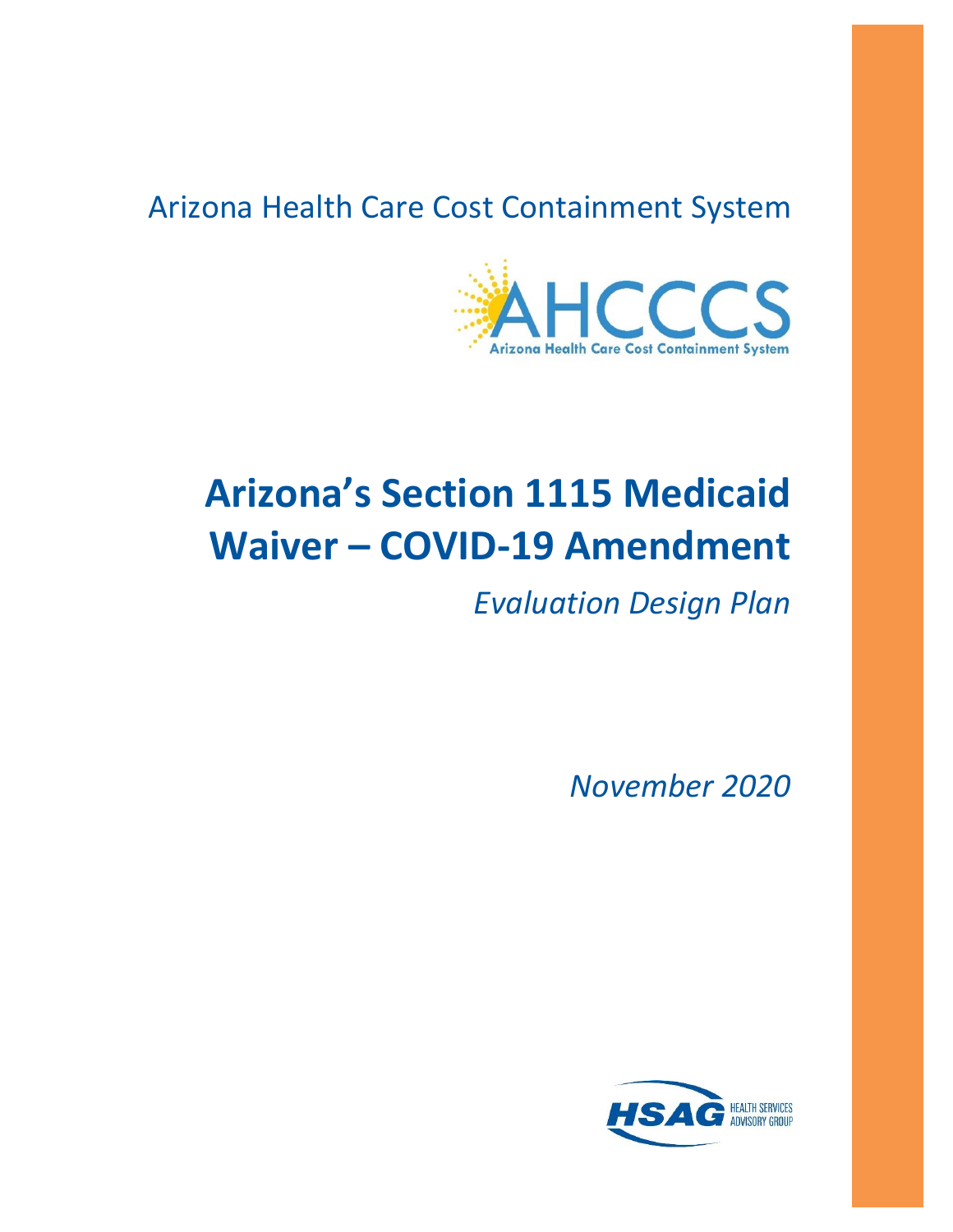# Arizona Health Care Cost Containment System



# **Arizona's Section 1115 Medicaid Waiver – COVID-19 Amendment**

*Evaluation Design Plan*

*November 2020*

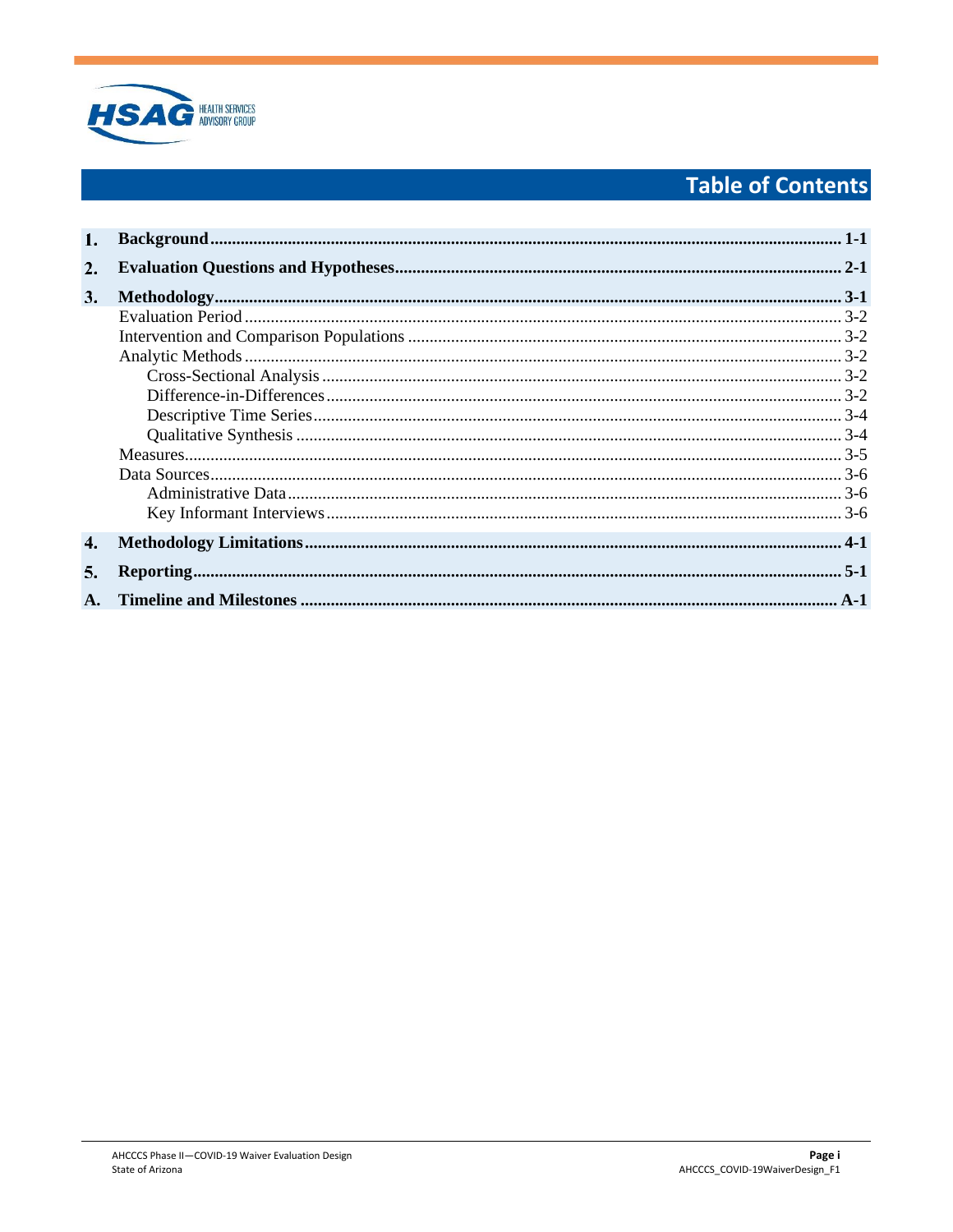

# **Table of Contents**

| 2.                        |  |
|---------------------------|--|
| 3.                        |  |
|                           |  |
|                           |  |
|                           |  |
|                           |  |
|                           |  |
|                           |  |
|                           |  |
|                           |  |
|                           |  |
|                           |  |
|                           |  |
| 4.                        |  |
| 5.                        |  |
| $\mathbf{A}_{\mathbf{A}}$ |  |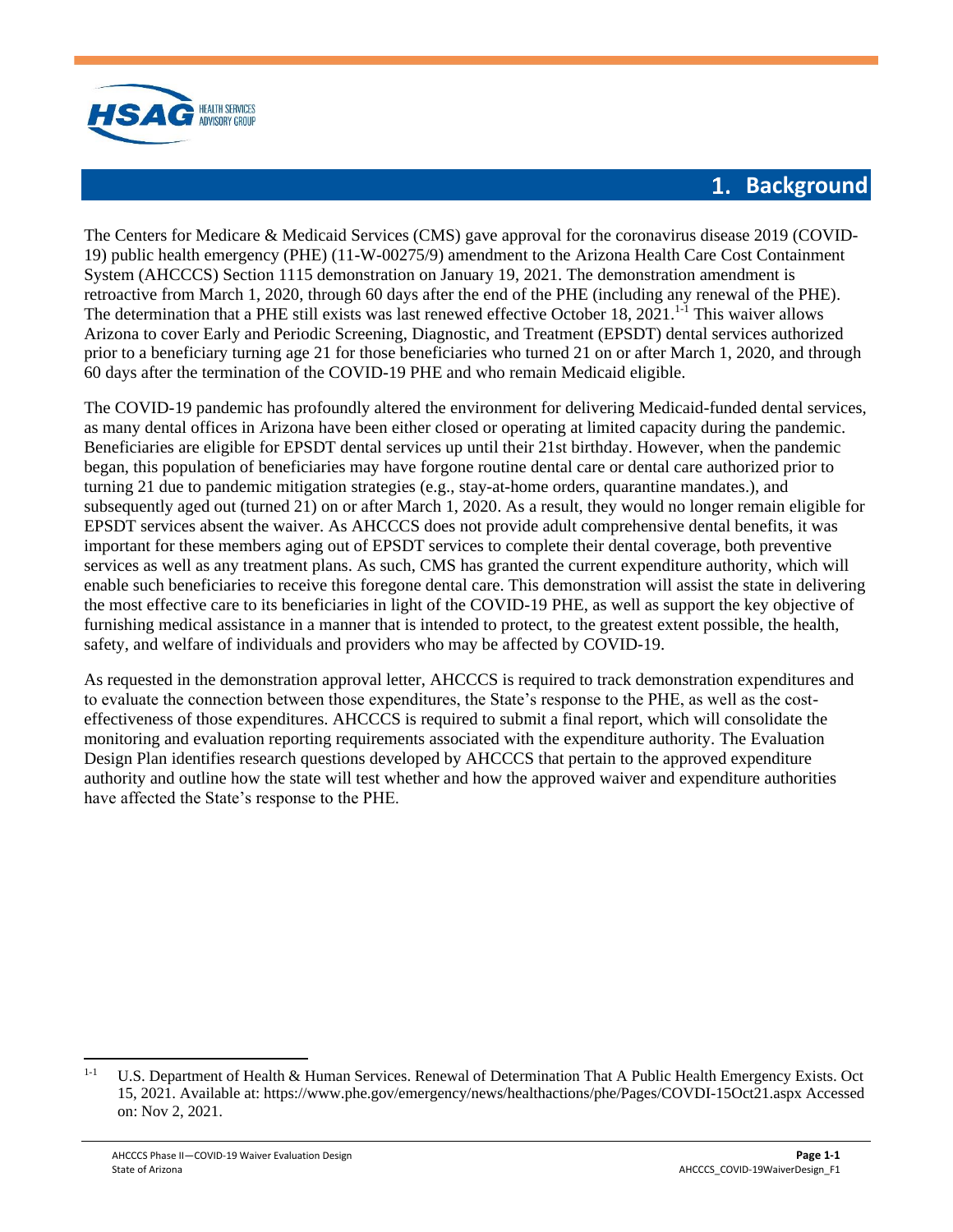

#### 1. **Background**

<span id="page-2-0"></span>The Centers for Medicare & Medicaid Services (CMS) gave approval for the coronavirus disease 2019 (COVID-19) public health emergency (PHE) (11-W-00275/9) amendment to the Arizona Health Care Cost Containment System (AHCCCS) Section 1115 demonstration on January 19, 2021. The demonstration amendment is retroactive from March 1, 2020, through 60 days after the end of the PHE (including any renewal of the PHE). The determination that a PHE still exists was last renewed effective October 18, 2021.<sup>[1-](#page-2-0)1</sup> This waiver allows Arizona to cover Early and Periodic Screening, Diagnostic, and Treatment (EPSDT) dental services authorized prior to a beneficiary turning age 21 for those beneficiaries who turned 21 on or after March 1, 2020, and through 60 days after the termination of the COVID-19 PHE and who remain Medicaid eligible.

The COVID-19 pandemic has profoundly altered the environment for delivering Medicaid-funded dental services, as many dental offices in Arizona have been either closed or operating at limited capacity during the pandemic. Beneficiaries are eligible for EPSDT dental services up until their 21st birthday. However, when the pandemic began, this population of beneficiaries may have forgone routine dental care or dental care authorized prior to turning 21 due to pandemic mitigation strategies (e.g., stay-at-home orders, quarantine mandates.), and subsequently aged out (turned 21) on or after March 1, 2020. As a result, they would no longer remain eligible for EPSDT services absent the waiver. As AHCCCS does not provide adult comprehensive dental benefits, it was important for these members aging out of EPSDT services to complete their dental coverage, both preventive services as well as any treatment plans. As such, CMS has granted the current expenditure authority, which will enable such beneficiaries to receive this foregone dental care. This demonstration will assist the state in delivering the most effective care to its beneficiaries in light of the COVID-19 PHE, as well as support the key objective of furnishing medical assistance in a manner that is intended to protect, to the greatest extent possible, the health, safety, and welfare of individuals and providers who may be affected by COVID-19.

As requested in the demonstration approval letter, AHCCCS is required to track demonstration expenditures and to evaluate the connection between those expenditures, the State's response to the PHE, as well as the costeffectiveness of those expenditures. AHCCCS is required to submit a final report, which will consolidate the monitoring and evaluation reporting requirements associated with the expenditure authority. The Evaluation Design Plan identifies research questions developed by AHCCCS that pertain to the approved expenditure authority and outline how the state will test whether and how the approved waiver and expenditure authorities have affected the State's response to the PHE.

<sup>&</sup>lt;sup>[1-1](#page-2-0)</sup> U.S. Department of Health & Human Services. Renewal of Determination That A Public Health Emergency Exists. Oct 15, 2021. Available at: https://www.phe.gov/emergency/news/healthactions/phe/Pages/COVDI-15Oct21.aspx Accessed on: Nov 2, 2021.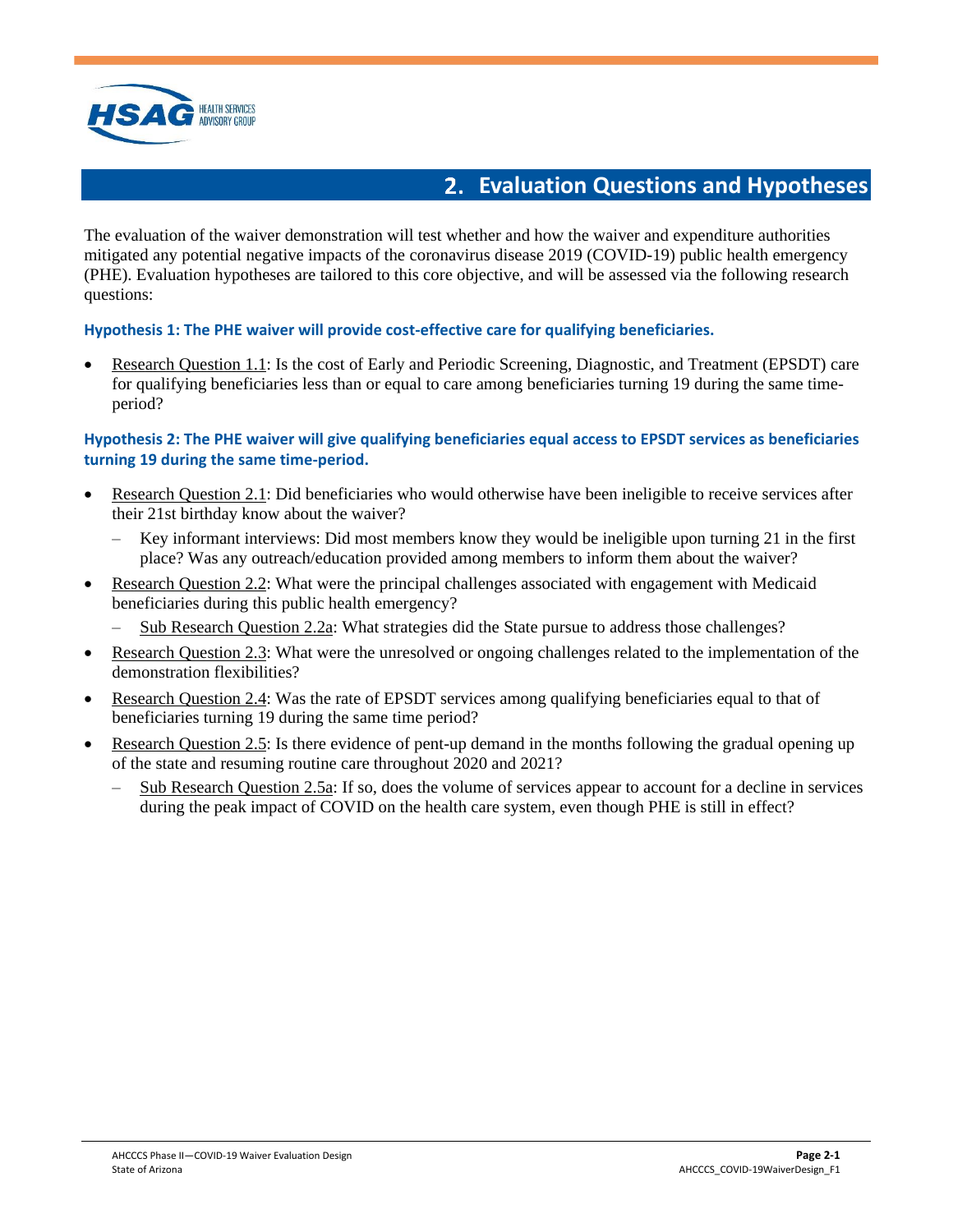

### **Evaluation Questions and Hypotheses**

<span id="page-3-0"></span>The evaluation of the waiver demonstration will test whether and how the waiver and expenditure authorities mitigated any potential negative impacts of the coronavirus disease 2019 (COVID-19) public health emergency (PHE). Evaluation hypotheses are tailored to this core objective, and will be assessed via the following research questions:

#### **Hypothesis 1: The PHE waiver will provide cost-effective care for qualifying beneficiaries.**

• Research Question 1.1: Is the cost of Early and Periodic Screening, Diagnostic, and Treatment (EPSDT) care for qualifying beneficiaries less than or equal to care among beneficiaries turning 19 during the same timeperiod?

#### **Hypothesis 2: The PHE waiver will give qualifying beneficiaries equal access to EPSDT services as beneficiaries turning 19 during the same time-period.**

- Research Question 2.1: Did beneficiaries who would otherwise have been ineligible to receive services after their 21st birthday know about the waiver?
	- Key informant interviews: Did most members know they would be ineligible upon turning 21 in the first place? Was any outreach/education provided among members to inform them about the waiver?
- Research Question 2.2: What were the principal challenges associated with engagement with Medicaid beneficiaries during this public health emergency?
	- Sub Research Question 2.2a: What strategies did the State pursue to address those challenges?
- Research Question 2.3: What were the unresolved or ongoing challenges related to the implementation of the demonstration flexibilities?
- Research Question 2.4: Was the rate of EPSDT services among qualifying beneficiaries equal to that of beneficiaries turning 19 during the same time period?
- Research Question 2.5: Is there evidence of pent-up demand in the months following the gradual opening up of the state and resuming routine care throughout 2020 and 2021?
	- Sub Research Question 2.5a: If so, does the volume of services appear to account for a decline in services during the peak impact of COVID on the health care system, even though PHE is still in effect?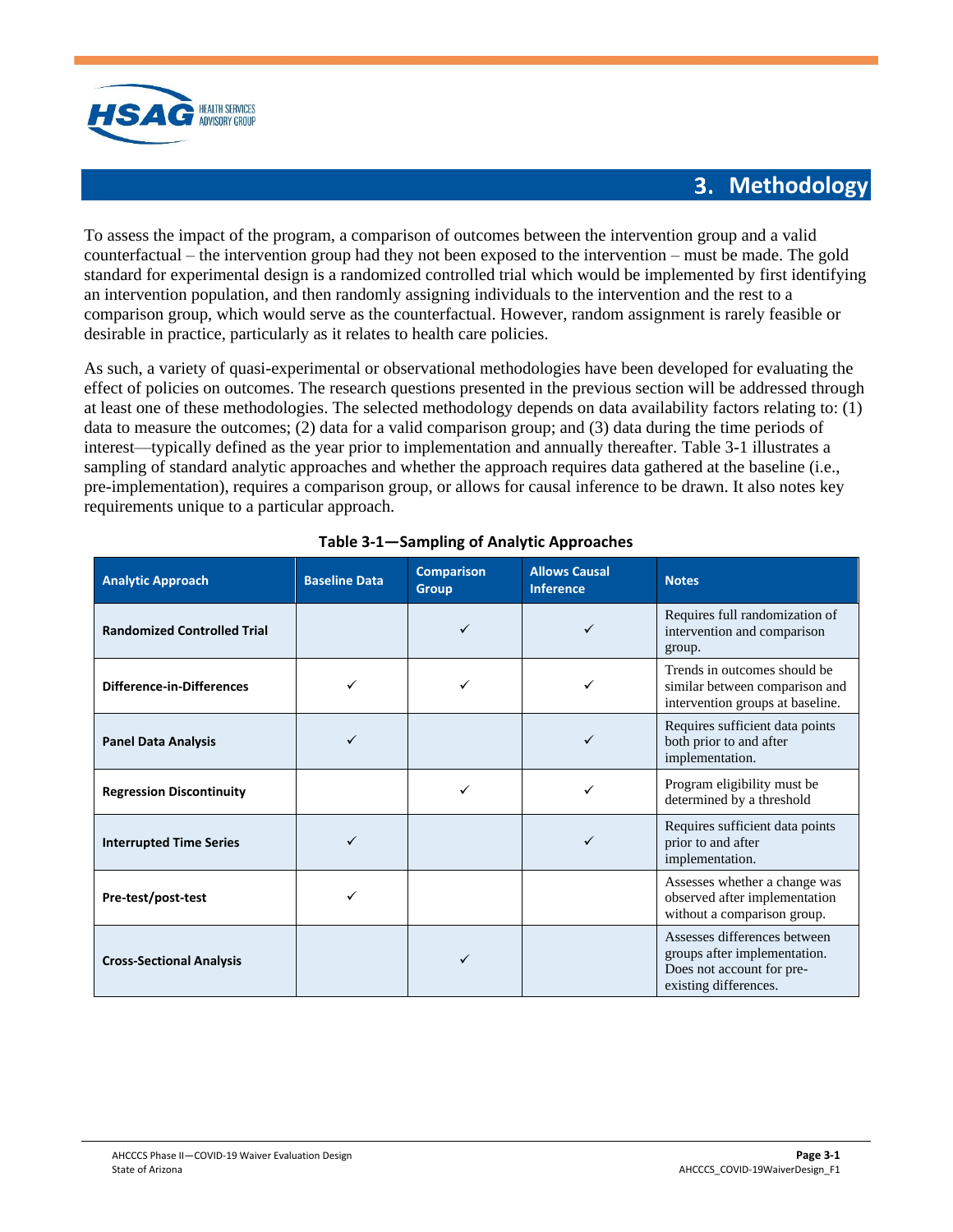

#### **3. Methodology**

<span id="page-4-0"></span>To assess the impact of the program, a comparison of outcomes between the intervention group and a valid counterfactual – the intervention group had they not been exposed to the intervention – must be made. The gold standard for experimental design is a randomized controlled trial which would be implemented by first identifying an intervention population, and then randomly assigning individuals to the intervention and the rest to a comparison group, which would serve as the counterfactual. However, random assignment is rarely feasible or desirable in practice, particularly as it relates to health care policies.

As such, a variety of quasi-experimental or observational methodologies have been developed for evaluating the effect of policies on outcomes. The research questions presented in the previous section will be addressed through at least one of these methodologies. The selected methodology depends on data availability factors relating to: (1) data to measure the outcomes; (2) data for a valid comparison group; and (3) data during the time periods of interest—typically defined as the year prior to implementation and annually thereafter. [Table 3-1](#page-4-1) illustrates a sampling of standard analytic approaches and whether the approach requires data gathered at the baseline (i.e., pre-implementation), requires a comparison group, or allows for causal inference to be drawn. It also notes key requirements unique to a particular approach.

<span id="page-4-1"></span>

| <b>Analytic Approach</b>           | <b>Baseline Data</b> | <b>Comparison</b><br><b>Group</b> | <b>Allows Causal</b><br><b>Inference</b> | <b>Notes</b>                                                                                                       |
|------------------------------------|----------------------|-----------------------------------|------------------------------------------|--------------------------------------------------------------------------------------------------------------------|
| <b>Randomized Controlled Trial</b> |                      |                                   |                                          | Requires full randomization of<br>intervention and comparison<br>group.                                            |
| <b>Difference-in-Differences</b>   |                      | ✓                                 | ✓                                        | Trends in outcomes should be<br>similar between comparison and<br>intervention groups at baseline.                 |
| <b>Panel Data Analysis</b>         |                      |                                   |                                          | Requires sufficient data points<br>both prior to and after<br>implementation.                                      |
| <b>Regression Discontinuity</b>    |                      | ✓                                 |                                          | Program eligibility must be<br>determined by a threshold                                                           |
| <b>Interrupted Time Series</b>     |                      |                                   |                                          | Requires sufficient data points<br>prior to and after<br>implementation.                                           |
| Pre-test/post-test                 |                      |                                   |                                          | Assesses whether a change was<br>observed after implementation<br>without a comparison group.                      |
| <b>Cross-Sectional Analysis</b>    |                      | ✓                                 |                                          | Assesses differences between<br>groups after implementation.<br>Does not account for pre-<br>existing differences. |

#### **Table 3-1—Sampling of Analytic Approaches**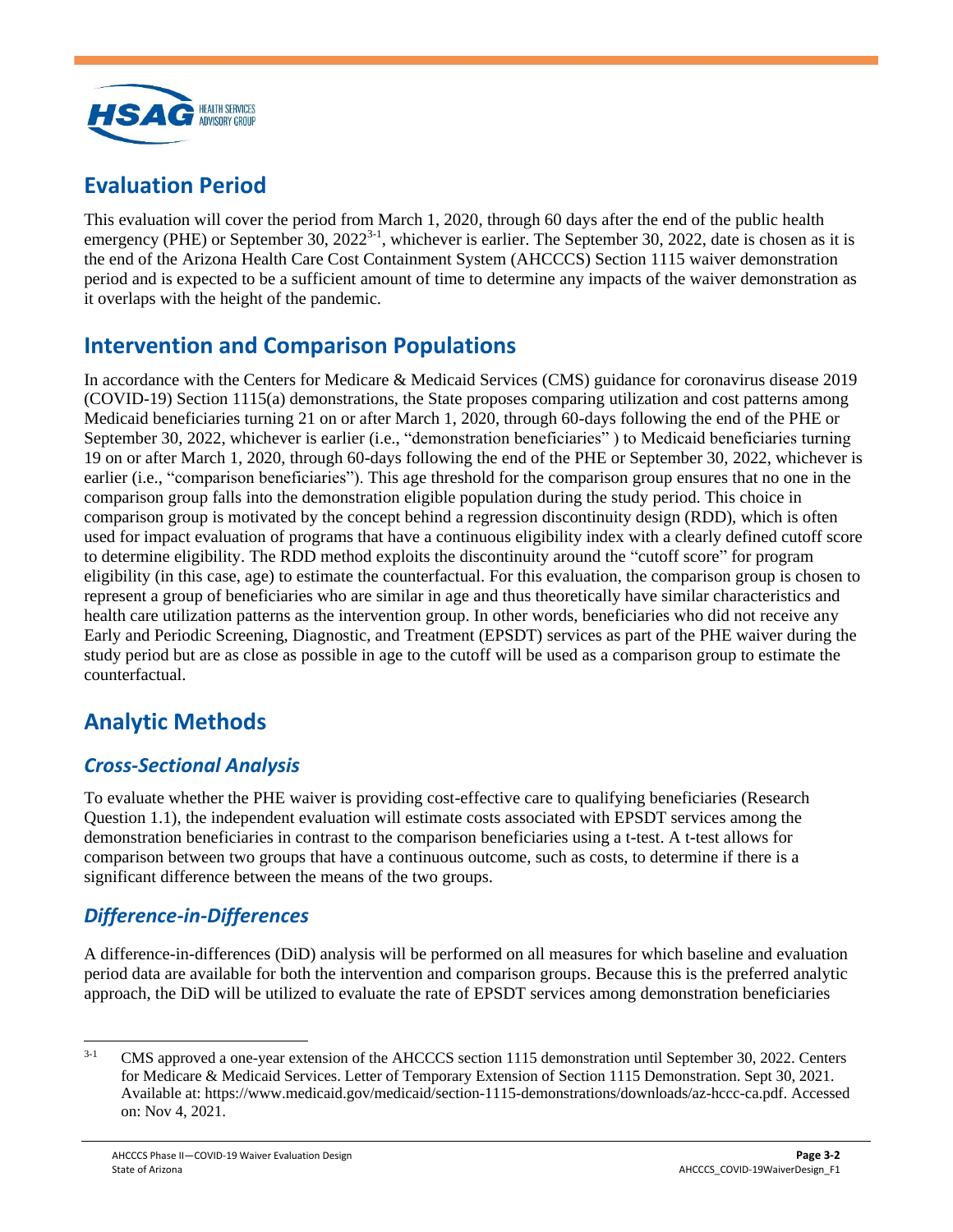

# <span id="page-5-0"></span>**Evaluation Period**

This evaluation will cover the period from March 1, 2020, through 60 days after the end of the public health emergency (PHE) or September 30,  $2022^{3-1}$  $2022^{3-1}$  $2022^{3-1}$ , whichever is earlier. The September 30, 2022, date is chosen as it is the end of the Arizona Health Care Cost Containment System (AHCCCS) Section 1115 waiver demonstration period and is expected to be a sufficient amount of time to determine any impacts of the waiver demonstration as it overlaps with the height of the pandemic.

#### <span id="page-5-1"></span>**Intervention and Comparison Populations**

In accordance with the Centers for Medicare & Medicaid Services (CMS) guidance for coronavirus disease 2019 (COVID-19) Section 1115(a) demonstrations, the State proposes comparing utilization and cost patterns among Medicaid beneficiaries turning 21 on or after March 1, 2020, through 60-days following the end of the PHE or September 30, 2022, whichever is earlier (i.e., "demonstration beneficiaries" ) to Medicaid beneficiaries turning 19 on or after March 1, 2020, through 60-days following the end of the PHE or September 30, 2022, whichever is earlier (i.e., "comparison beneficiaries"). This age threshold for the comparison group ensures that no one in the comparison group falls into the demonstration eligible population during the study period. This choice in comparison group is motivated by the concept behind a regression discontinuity design (RDD), which is often used for impact evaluation of programs that have a continuous eligibility index with a clearly defined cutoff score to determine eligibility. The RDD method exploits the discontinuity around the "cutoff score" for program eligibility (in this case, age) to estimate the counterfactual. For this evaluation, the comparison group is chosen to represent a group of beneficiaries who are similar in age and thus theoretically have similar characteristics and health care utilization patterns as the intervention group. In other words, beneficiaries who did not receive any Early and Periodic Screening, Diagnostic, and Treatment (EPSDT) services as part of the PHE waiver during the study period but are as close as possible in age to the cutoff will be used as a comparison group to estimate the counterfactual.

# <span id="page-5-2"></span>**Analytic Methods**

#### <span id="page-5-3"></span>*Cross-Sectional Analysis*

To evaluate whether the PHE waiver is providing cost-effective care to qualifying beneficiaries (Research Question 1.1), the independent evaluation will estimate costs associated with EPSDT services among the demonstration beneficiaries in contrast to the comparison beneficiaries using a t-test. A t-test allows for comparison between two groups that have a continuous outcome, such as costs, to determine if there is a significant difference between the means of the two groups.

#### <span id="page-5-4"></span>*Difference-in-Differences*

A difference-in-differences (DiD) analysis will be performed on all measures for which baseline and evaluation period data are available for both the intervention and comparison groups. Because this is the preferred analytic approach, the DiD will be utilized to evaluate the rate of EPSDT services among demonstration beneficiaries

<sup>&</sup>lt;sup>[3-1](#page-4-0)</sup> CMS approved a one-year extension of the AHCCCS section 1115 demonstration until September 30, 2022. Centers for Medicare & Medicaid Services. Letter of Temporary Extension of Section 1115 Demonstration. Sept 30, 2021. Available at: https://www.medicaid.gov/medicaid/section-1115-demonstrations/downloads/az-hccc-ca.pdf. Accessed on: Nov 4, 2021.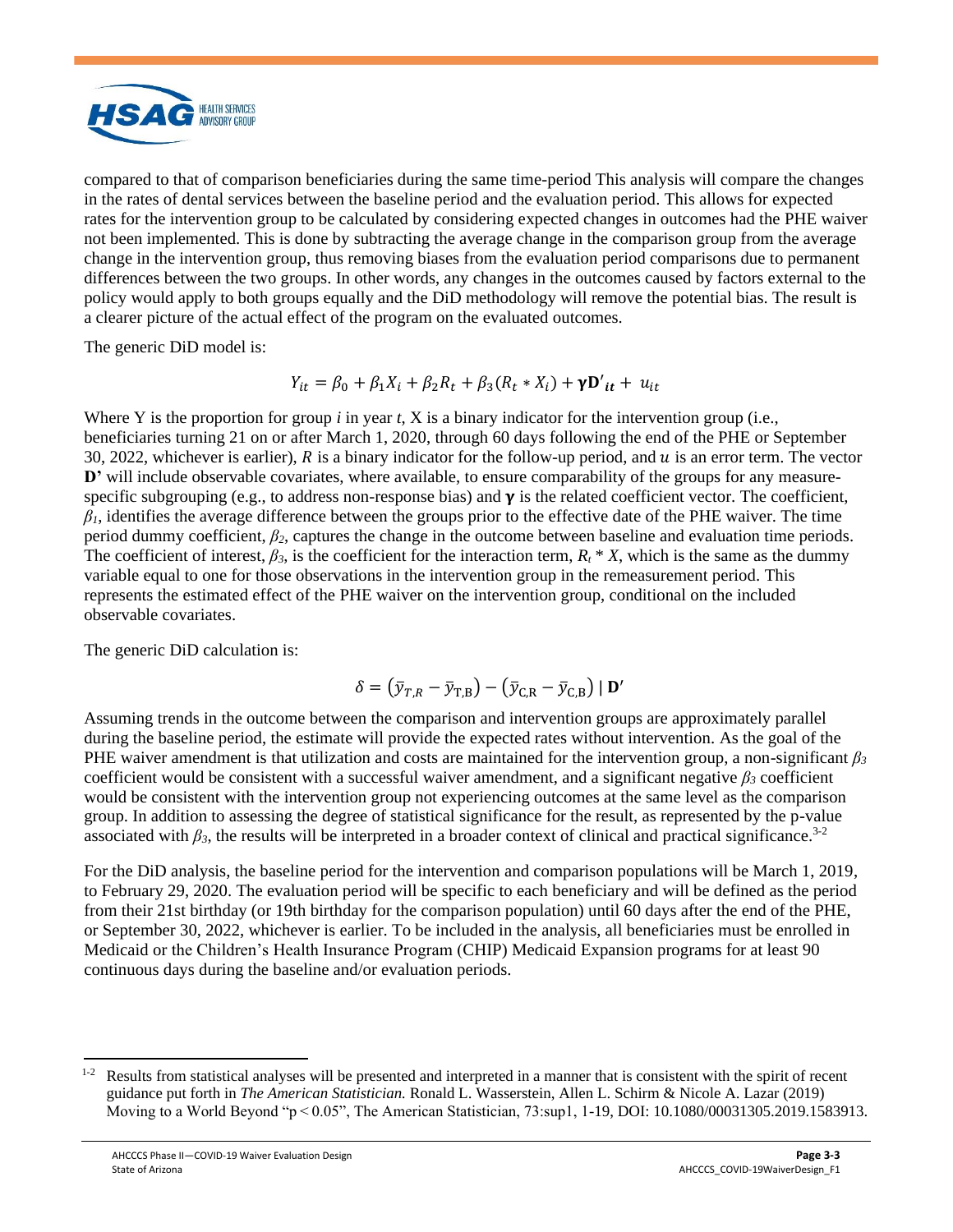

compared to that of comparison beneficiaries during the same time-period This analysis will compare the changes in the rates of dental services between the baseline period and the evaluation period. This allows for expected rates for the intervention group to be calculated by considering expected changes in outcomes had the PHE waiver not been implemented. This is done by subtracting the average change in the comparison group from the average change in the intervention group, thus removing biases from the evaluation period comparisons due to permanent differences between the two groups. In other words, any changes in the outcomes caused by factors external to the policy would apply to both groups equally and the DiD methodology will remove the potential bias. The result is a clearer picture of the actual effect of the program on the evaluated outcomes.

The generic DiD model is:

$$
Y_{it} = \beta_0 + \beta_1 X_i + \beta_2 R_t + \beta_3 (R_t * X_i) + \gamma D'_{it} + u_{it}
$$

Where Y is the proportion for group *i* in year *t*, X is a binary indicator for the intervention group (i.e., beneficiaries turning 21 on or after March 1, 2020, through 60 days following the end of the PHE or September 30, 2022, whichever is earlier),  $R$  is a binary indicator for the follow-up period, and  $u$  is an error term. The vector **D'** will include observable covariates, where available, to ensure comparability of the groups for any measurespecific subgrouping (e.g., to address non-response bias) and  $\gamma$  is the related coefficient vector. The coefficient,  $\beta$ <sup>*I*</sup>, identifies the average difference between the groups prior to the effective date of the PHE waiver. The time period dummy coefficient, *β2*, captures the change in the outcome between baseline and evaluation time periods. The coefficient of interest,  $\beta_3$ , is the coefficient for the interaction term,  $R_t * X$ , which is the same as the dummy variable equal to one for those observations in the intervention group in the remeasurement period. This represents the estimated effect of the PHE waiver on the intervention group, conditional on the included observable covariates.

The generic DiD calculation is:

$$
\delta = (\bar{y}_{T,R} - \bar{y}_{T,B}) - (\bar{y}_{C,R} - \bar{y}_{C,B}) \mid \mathbf{D}'
$$

Assuming trends in the outcome between the comparison and intervention groups are approximately parallel during the baseline period, the estimate will provide the expected rates without intervention. As the goal of the PHE waiver amendment is that utilization and costs are maintained for the intervention group, a non-significant *β<sup>3</sup>* coefficient would be consistent with a successful waiver amendment, and a significant negative *β<sup>3</sup>* coefficient would be consistent with the intervention group not experiencing outcomes at the same level as the comparison group. In addition to assessing the degree of statistical significance for the result, as represented by the p-value associated with  $\beta_3$ , the results will be interpreted in a broader context of clinical and practical significance.<sup>[3-](#page-4-0)2</sup>

For the DiD analysis, the baseline period for the intervention and comparison populations will be March 1, 2019, to February 29, 2020. The evaluation period will be specific to each beneficiary and will be defined as the period from their 21st birthday (or 19th birthday for the comparison population) until 60 days after the end of the PHE, or September 30, 2022, whichever is earlier. To be included in the analysis, all beneficiaries must be enrolled in Medicaid or the Children's Health Insurance Program (CHIP) Medicaid Expansion programs for at least 90 continuous days during the baseline and/or evaluation periods.

 $1-2$  Results from statistical analyses will be presented and interpreted in a manner that is consistent with the spirit of recent guidance put forth in *The American Statistician.* Ronald L. Wasserstein, Allen L. Schirm & Nicole A. Lazar (2019) Moving to a World Beyond "p < 0.05", The American Statistician, 73:sup1, 1-19, DOI: 10.1080/00031305.2019.1583913.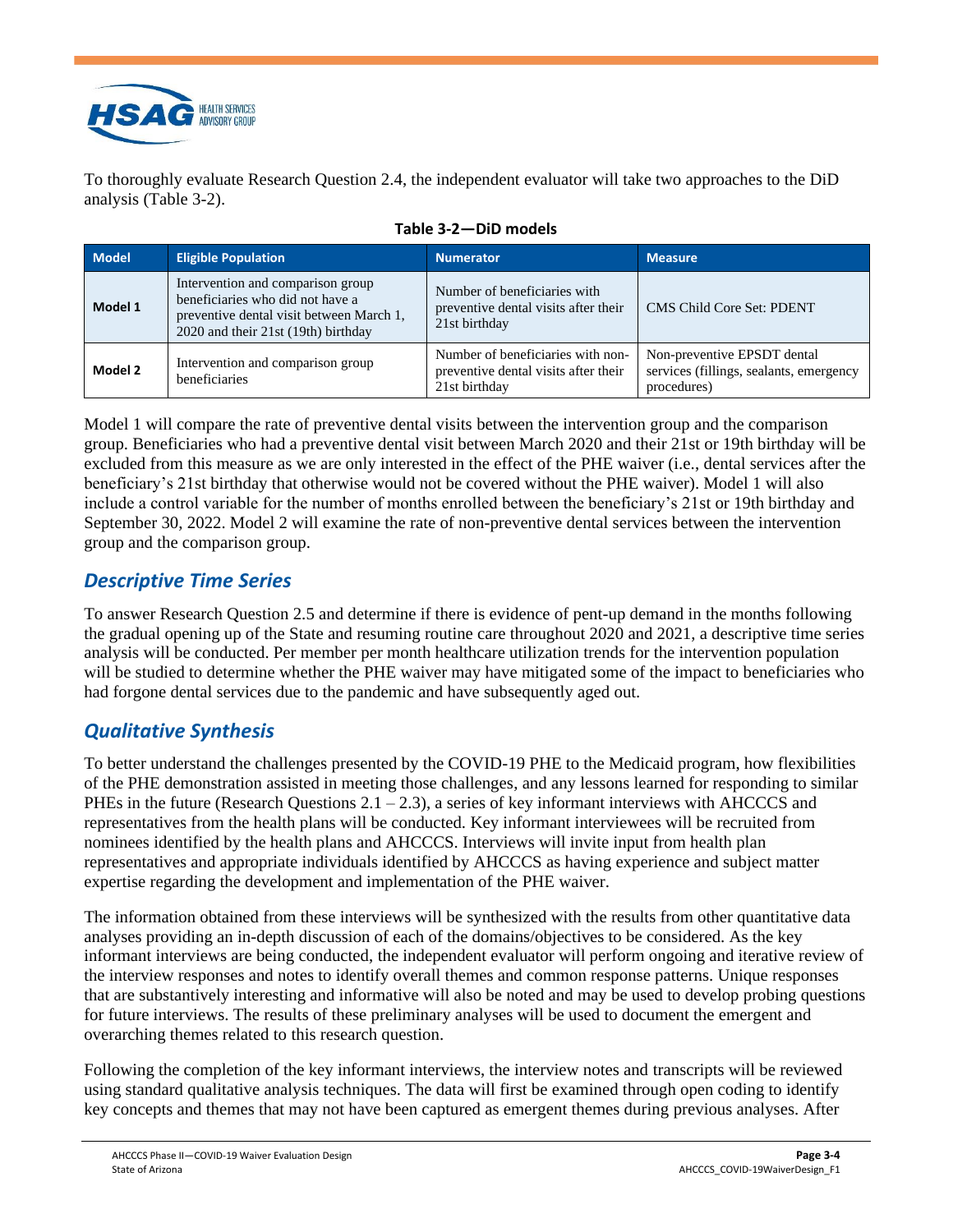

To thoroughly evaluate Research Question 2.4, the independent evaluator will take two approaches to the DiD analysis [\(Table 3-2\)](#page-7-2).

<span id="page-7-2"></span>

| <b>Model</b> | <b>Eligible Population</b>                                                                                                                               | <b>Numerator</b>                                                                           | <b>Measure</b>                                                                        |
|--------------|----------------------------------------------------------------------------------------------------------------------------------------------------------|--------------------------------------------------------------------------------------------|---------------------------------------------------------------------------------------|
| Model 1      | Intervention and comparison group<br>beneficiaries who did not have a<br>preventive dental visit between March 1,<br>2020 and their 21st (19th) birthday | Number of beneficiaries with<br>preventive dental visits after their<br>21st birthday      | <b>CMS Child Core Set: PDENT</b>                                                      |
| Model 2      | Intervention and comparison group<br>beneficiaries                                                                                                       | Number of beneficiaries with non-<br>preventive dental visits after their<br>21st birthday | Non-preventive EPSDT dental<br>services (fillings, sealants, emergency<br>procedures) |

|  |  | Table 3-2—DiD models |  |
|--|--|----------------------|--|
|--|--|----------------------|--|

Model 1 will compare the rate of preventive dental visits between the intervention group and the comparison group. Beneficiaries who had a preventive dental visit between March 2020 and their 21st or 19th birthday will be excluded from this measure as we are only interested in the effect of the PHE waiver (i.e., dental services after the beneficiary's 21st birthday that otherwise would not be covered without the PHE waiver). Model 1 will also include a control variable for the number of months enrolled between the beneficiary's 21st or 19th birthday and September 30, 2022. Model 2 will examine the rate of non-preventive dental services between the intervention group and the comparison group.

#### <span id="page-7-0"></span>*Descriptive Time Series*

To answer Research Question 2.5 and determine if there is evidence of pent-up demand in the months following the gradual opening up of the State and resuming routine care throughout 2020 and 2021, a descriptive time series analysis will be conducted. Per member per month healthcare utilization trends for the intervention population will be studied to determine whether the PHE waiver may have mitigated some of the impact to beneficiaries who had forgone dental services due to the pandemic and have subsequently aged out.

#### <span id="page-7-1"></span>*Qualitative Synthesis*

To better understand the challenges presented by the COVID-19 PHE to the Medicaid program, how flexibilities of the PHE demonstration assisted in meeting those challenges, and any lessons learned for responding to similar PHEs in the future (Research Questions  $2.1 - 2.3$ ), a series of key informant interviews with AHCCCS and representatives from the health plans will be conducted. Key informant interviewees will be recruited from nominees identified by the health plans and AHCCCS. Interviews will invite input from health plan representatives and appropriate individuals identified by AHCCCS as having experience and subject matter expertise regarding the development and implementation of the PHE waiver.

The information obtained from these interviews will be synthesized with the results from other quantitative data analyses providing an in-depth discussion of each of the domains/objectives to be considered. As the key informant interviews are being conducted, the independent evaluator will perform ongoing and iterative review of the interview responses and notes to identify overall themes and common response patterns. Unique responses that are substantively interesting and informative will also be noted and may be used to develop probing questions for future interviews. The results of these preliminary analyses will be used to document the emergent and overarching themes related to this research question.

Following the completion of the key informant interviews, the interview notes and transcripts will be reviewed using standard qualitative analysis techniques. The data will first be examined through open coding to identify key concepts and themes that may not have been captured as emergent themes during previous analyses. After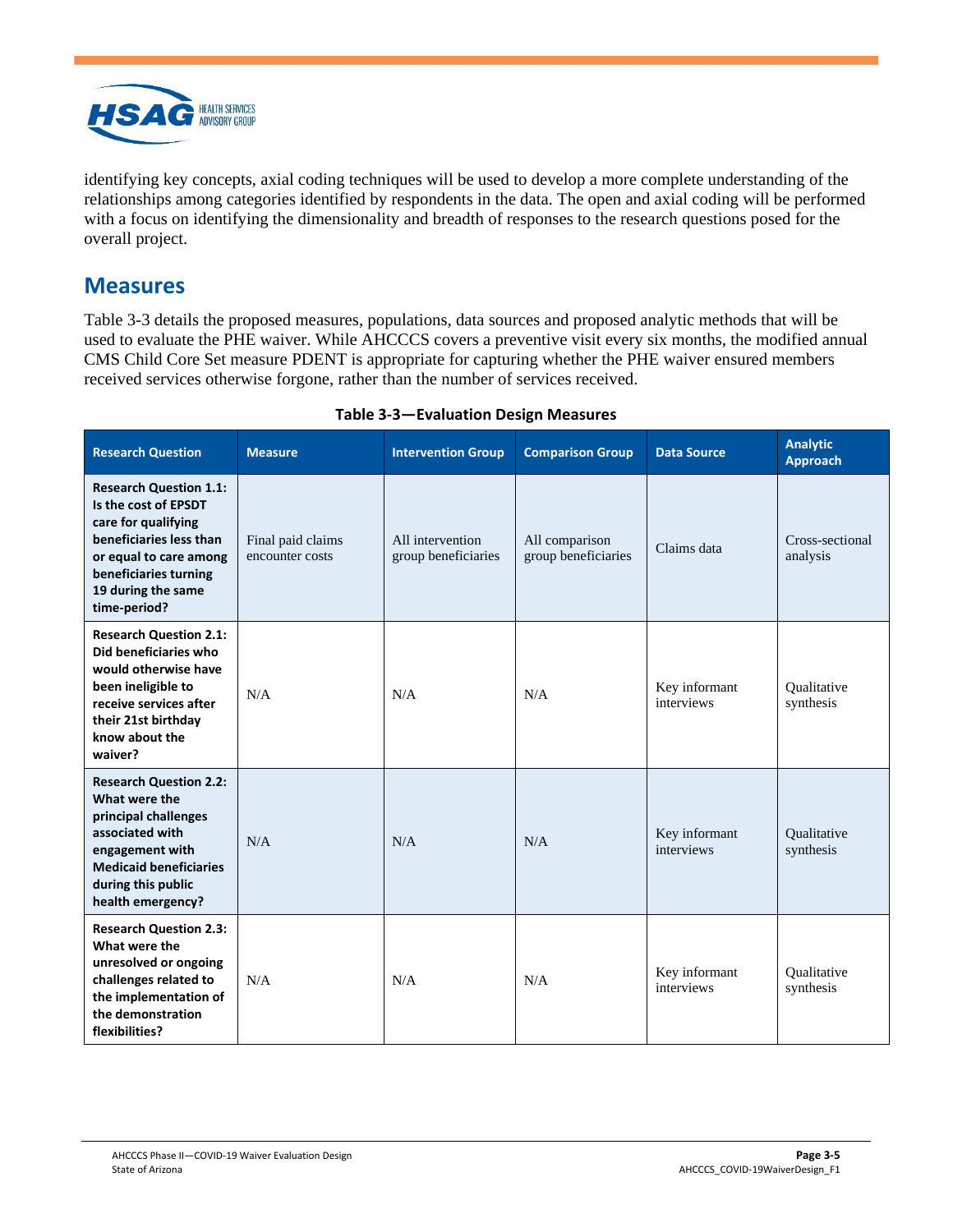

identifying key concepts, axial coding techniques will be used to develop a more complete understanding of the relationships among categories identified by respondents in the data. The open and axial coding will be performed with a focus on identifying the dimensionality and breadth of responses to the research questions posed for the overall project.

#### <span id="page-8-0"></span>**Measures**

[Table 3-3](#page-8-1) details the proposed measures, populations, data sources and proposed analytic methods that will be used to evaluate the PHE waiver. While AHCCCS covers a preventive visit every six months, the modified annual CMS Child Core Set measure PDENT is appropriate for capturing whether the PHE waiver ensured members received services otherwise forgone, rather than the number of services received.

<span id="page-8-1"></span>

| <b>Research Question</b>                                                                                                                                                                         | <b>Measure</b>                       | <b>Intervention Group</b>               | <b>Comparison Group</b>               | <b>Data Source</b>          | <b>Analytic</b><br><b>Approach</b> |
|--------------------------------------------------------------------------------------------------------------------------------------------------------------------------------------------------|--------------------------------------|-----------------------------------------|---------------------------------------|-----------------------------|------------------------------------|
| <b>Research Question 1.1:</b><br>Is the cost of EPSDT<br>care for qualifying<br>beneficiaries less than<br>or equal to care among<br>beneficiaries turning<br>19 during the same<br>time-period? | Final paid claims<br>encounter costs | All intervention<br>group beneficiaries | All comparison<br>group beneficiaries | Claims data                 | Cross-sectional<br>analysis        |
| <b>Research Question 2.1:</b><br>Did beneficiaries who<br>would otherwise have<br>been ineligible to<br>receive services after<br>their 21st birthday<br>know about the<br>waiver?               | N/A                                  | N/A                                     | N/A                                   | Key informant<br>interviews | Qualitative<br>synthesis           |
| <b>Research Question 2.2:</b><br>What were the<br>principal challenges<br>associated with<br>engagement with<br><b>Medicaid beneficiaries</b><br>during this public<br>health emergency?         | N/A                                  | N/A                                     | N/A                                   | Key informant<br>interviews | Qualitative<br>synthesis           |
| <b>Research Question 2.3:</b><br>What were the<br>unresolved or ongoing<br>challenges related to<br>the implementation of<br>the demonstration<br>flexibilities?                                 | N/A                                  | N/A                                     | N/A                                   | Key informant<br>interviews | Oualitative<br>synthesis           |

#### **Table 3-3—Evaluation Design Measures**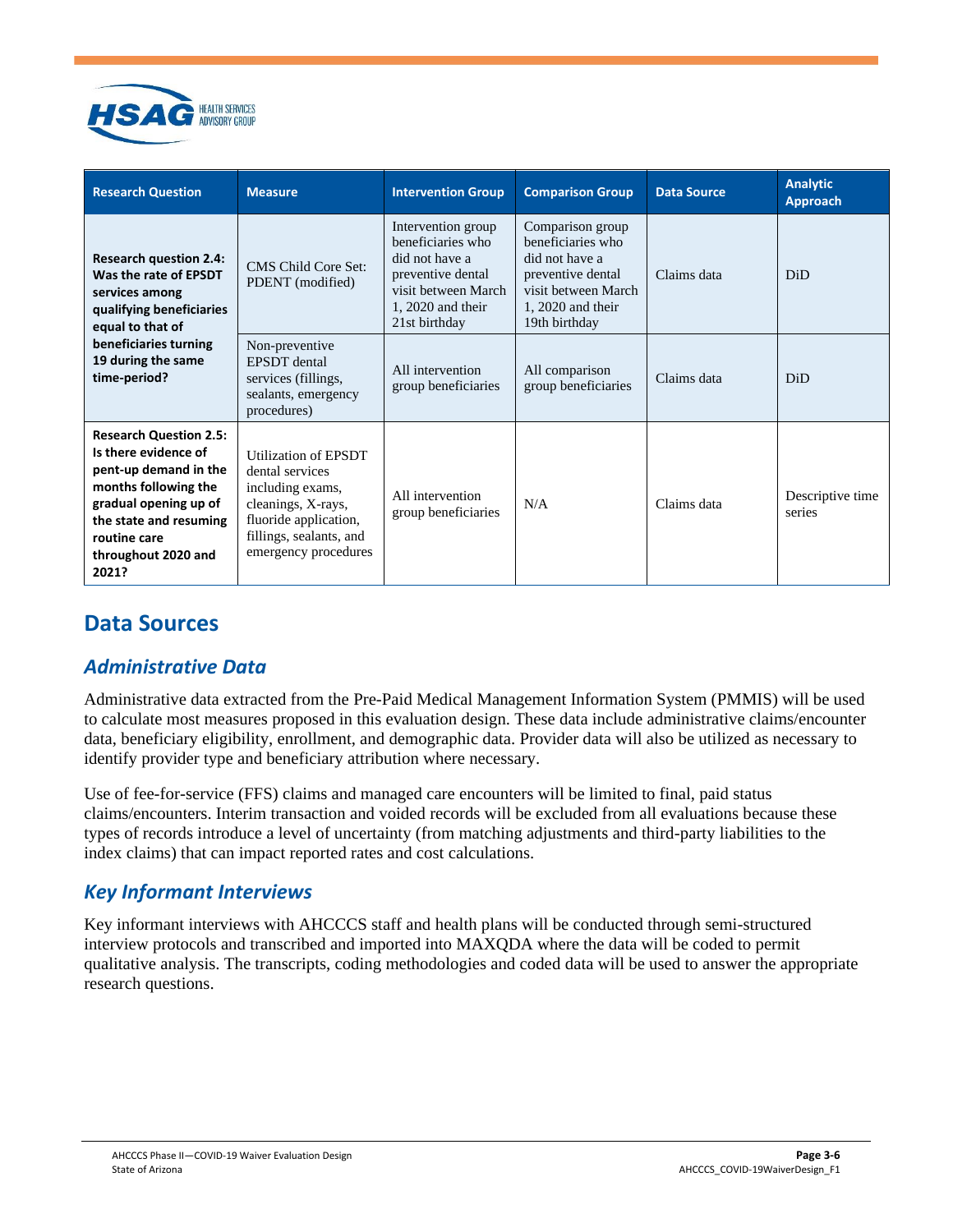

| <b>Research Question</b>                                                                                                                                                                                  | <b>Measure</b>                                                                                                                                                | <b>Intervention Group</b>                                                                                                                     | <b>Comparison Group</b>                                                                                                                     | <b>Data Source</b> | <b>Analytic</b><br><b>Approach</b> |
|-----------------------------------------------------------------------------------------------------------------------------------------------------------------------------------------------------------|---------------------------------------------------------------------------------------------------------------------------------------------------------------|-----------------------------------------------------------------------------------------------------------------------------------------------|---------------------------------------------------------------------------------------------------------------------------------------------|--------------------|------------------------------------|
| <b>Research question 2.4:</b><br>Was the rate of EPSDT<br>services among<br>qualifying beneficiaries<br>equal to that of                                                                                  | <b>CMS Child Core Set:</b><br>PDENT (modified)                                                                                                                | Intervention group<br>beneficiaries who<br>did not have a<br>preventive dental<br>visit between March<br>$1, 2020$ and their<br>21st birthday | Comparison group<br>beneficiaries who<br>did not have a<br>preventive dental<br>visit between March<br>$1, 2020$ and their<br>19th birthday | Claims data        | <b>DiD</b>                         |
| beneficiaries turning<br>19 during the same<br>time-period?                                                                                                                                               | Non-preventive<br><b>EPSDT</b> dental<br>services (fillings,<br>sealants, emergency<br>procedures)                                                            | All intervention<br>group beneficiaries                                                                                                       | All comparison<br>group beneficiaries                                                                                                       | Claims data        | <b>DiD</b>                         |
| <b>Research Question 2.5:</b><br>Is there evidence of<br>pent-up demand in the<br>months following the<br>gradual opening up of<br>the state and resuming<br>routine care<br>throughout 2020 and<br>2021? | Utilization of EPSDT<br>dental services<br>including exams,<br>cleanings, X-rays,<br>fluoride application,<br>fillings, sealants, and<br>emergency procedures | All intervention<br>group beneficiaries                                                                                                       | N/A                                                                                                                                         | Claims data        | Descriptive time<br>series         |

# <span id="page-9-0"></span>**Data Sources**

#### <span id="page-9-1"></span>*Administrative Data*

Administrative data extracted from the Pre-Paid Medical Management Information System (PMMIS) will be used to calculate most measures proposed in this evaluation design. These data include administrative claims/encounter data, beneficiary eligibility, enrollment, and demographic data. Provider data will also be utilized as necessary to identify provider type and beneficiary attribution where necessary.

Use of fee-for-service (FFS) claims and managed care encounters will be limited to final, paid status claims/encounters. Interim transaction and voided records will be excluded from all evaluations because these types of records introduce a level of uncertainty (from matching adjustments and third-party liabilities to the index claims) that can impact reported rates and cost calculations.

#### <span id="page-9-2"></span>*Key Informant Interviews*

Key informant interviews with AHCCCS staff and health plans will be conducted through semi-structured interview protocols and transcribed and imported into MAXQDA where the data will be coded to permit qualitative analysis. The transcripts, coding methodologies and coded data will be used to answer the appropriate research questions.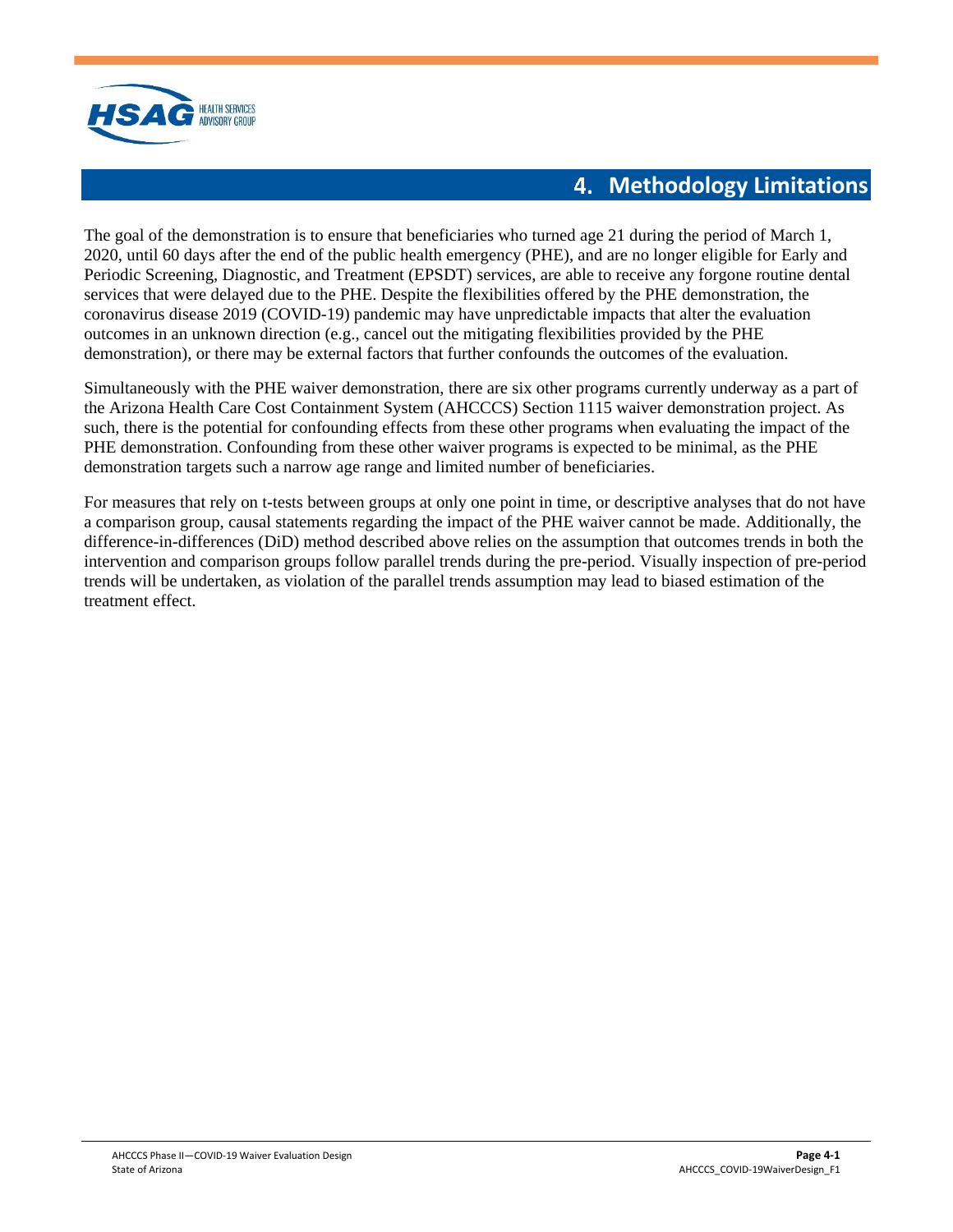

#### **4. Methodology Limitations**

<span id="page-10-0"></span>The goal of the demonstration is to ensure that beneficiaries who turned age 21 during the period of March 1, 2020, until 60 days after the end of the public health emergency (PHE), and are no longer eligible for Early and Periodic Screening, Diagnostic, and Treatment (EPSDT) services, are able to receive any forgone routine dental services that were delayed due to the PHE. Despite the flexibilities offered by the PHE demonstration, the coronavirus disease 2019 (COVID-19) pandemic may have unpredictable impacts that alter the evaluation outcomes in an unknown direction (e.g., cancel out the mitigating flexibilities provided by the PHE demonstration), or there may be external factors that further confounds the outcomes of the evaluation.

Simultaneously with the PHE waiver demonstration, there are six other programs currently underway as a part of the Arizona Health Care Cost Containment System (AHCCCS) Section 1115 waiver demonstration project. As such, there is the potential for confounding effects from these other programs when evaluating the impact of the PHE demonstration. Confounding from these other waiver programs is expected to be minimal, as the PHE demonstration targets such a narrow age range and limited number of beneficiaries.

For measures that rely on t-tests between groups at only one point in time, or descriptive analyses that do not have a comparison group, causal statements regarding the impact of the PHE waiver cannot be made. Additionally, the difference-in-differences (DiD) method described above relies on the assumption that outcomes trends in both the intervention and comparison groups follow parallel trends during the pre-period. Visually inspection of pre-period trends will be undertaken, as violation of the parallel trends assumption may lead to biased estimation of the treatment effect.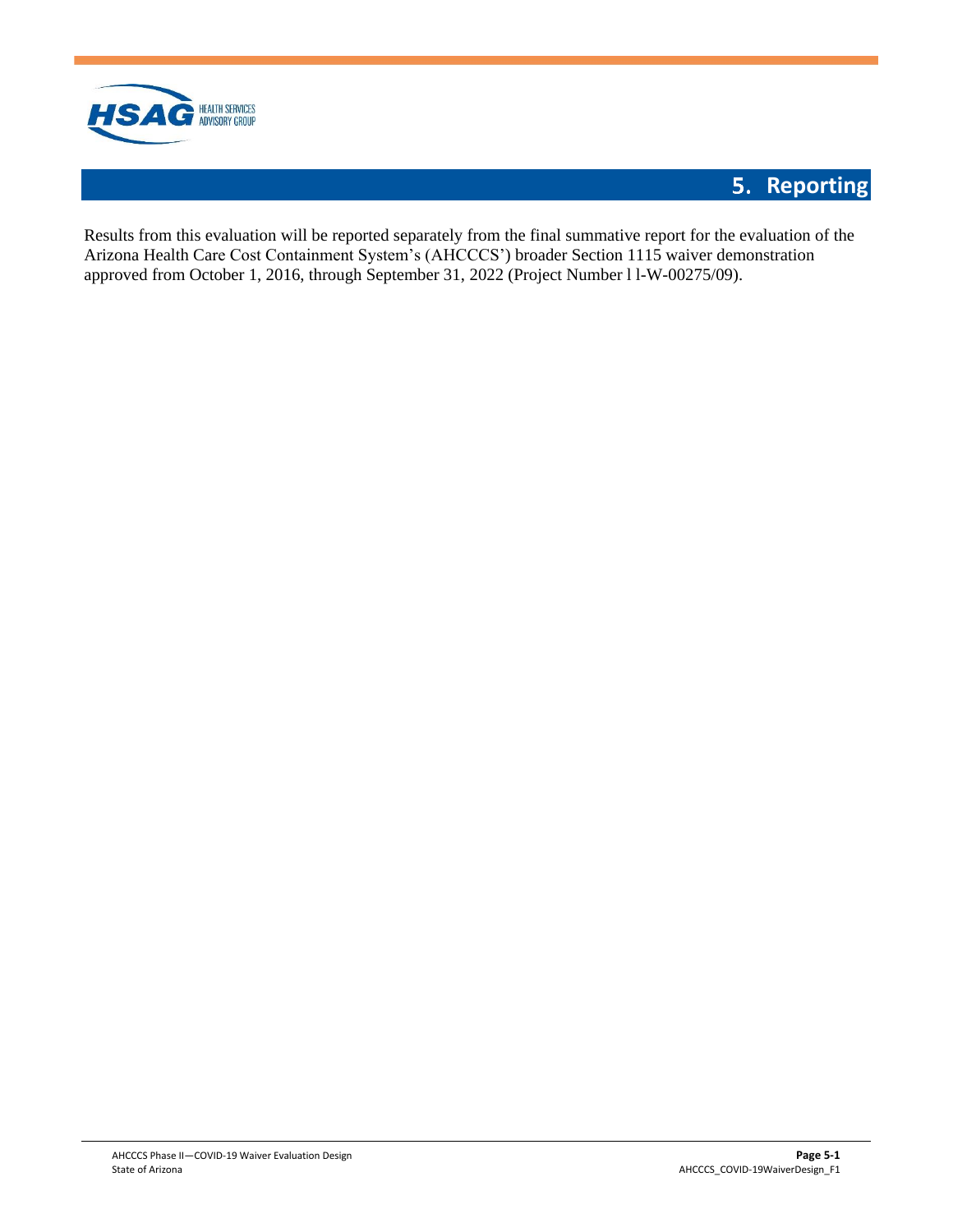

# **5. Reporting**

<span id="page-11-0"></span>Results from this evaluation will be reported separately from the final summative report for the evaluation of the Arizona Health Care Cost Containment System's (AHCCCS') broader Section 1115 waiver demonstration approved from October 1, 2016, through September 31, 2022 (Project Number l l-W-00275/09).